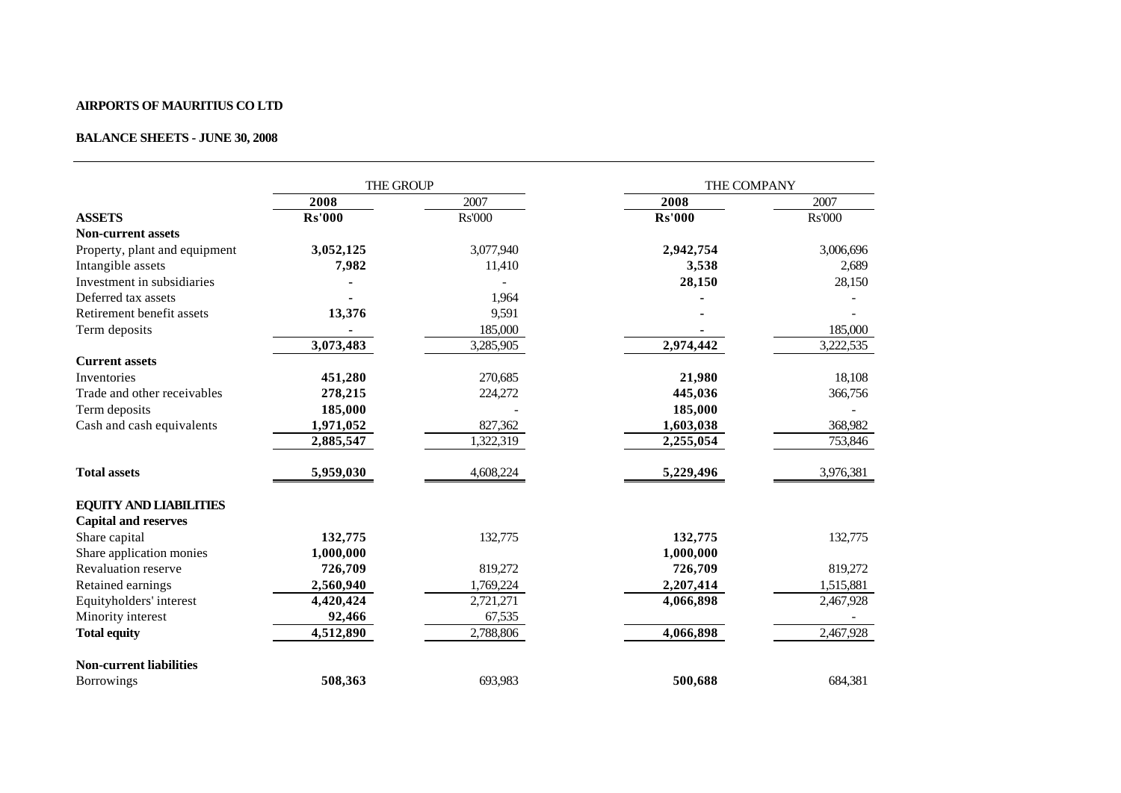## **AIRPORTS OF MAURITIUS CO LTD**

## **BALANCE SHEETS - JUNE 30, 2008**

|                                | THE GROUP     |               | THE COMPANY   |               |
|--------------------------------|---------------|---------------|---------------|---------------|
|                                | 2008          | 2007          | 2008          | 2007          |
| <b>ASSETS</b>                  | <b>Rs'000</b> | <b>Rs'000</b> | <b>Rs'000</b> | <b>Rs'000</b> |
| <b>Non-current assets</b>      |               |               |               |               |
| Property, plant and equipment  | 3,052,125     | 3,077,940     | 2,942,754     | 3,006,696     |
| Intangible assets              | 7,982         | 11,410        | 3,538         | 2,689         |
| Investment in subsidiaries     |               |               | 28,150        | 28,150        |
| Deferred tax assets            |               | 1,964         |               |               |
| Retirement benefit assets      | 13,376        | 9,591         |               |               |
| Term deposits                  |               | 185,000       |               | 185,000       |
|                                | 3,073,483     | 3,285,905     | 2,974,442     | 3,222,535     |
| <b>Current assets</b>          |               |               |               |               |
| Inventories                    | 451,280       | 270,685       | 21,980        | 18,108        |
| Trade and other receivables    | 278,215       | 224,272       | 445,036       | 366,756       |
| Term deposits                  | 185,000       |               | 185,000       |               |
| Cash and cash equivalents      | 1,971,052     | 827,362       | 1,603,038     | 368,982       |
|                                | 2,885,547     | 1,322,319     | 2,255,054     | 753,846       |
| <b>Total assets</b>            | 5,959,030     | 4,608,224     | 5,229,496     | 3,976,381     |
| <b>EQUITY AND LIABILITIES</b>  |               |               |               |               |
| <b>Capital and reserves</b>    |               |               |               |               |
| Share capital                  | 132,775       | 132,775       | 132,775       | 132,775       |
| Share application monies       | 1,000,000     |               | 1,000,000     |               |
| <b>Revaluation reserve</b>     | 726,709       | 819,272       | 726,709       | 819,272       |
| Retained earnings              | 2,560,940     | 1,769,224     | 2,207,414     | 1,515,881     |
| Equityholders' interest        | 4,420,424     | 2,721,271     | 4,066,898     | 2,467,928     |
| Minority interest              | 92,466        | 67,535        |               |               |
| <b>Total equity</b>            | 4,512,890     | 2,788,806     | 4,066,898     | 2,467,928     |
| <b>Non-current liabilities</b> |               |               |               |               |
| <b>Borrowings</b>              | 508,363       | 693,983       | 500,688       | 684,381       |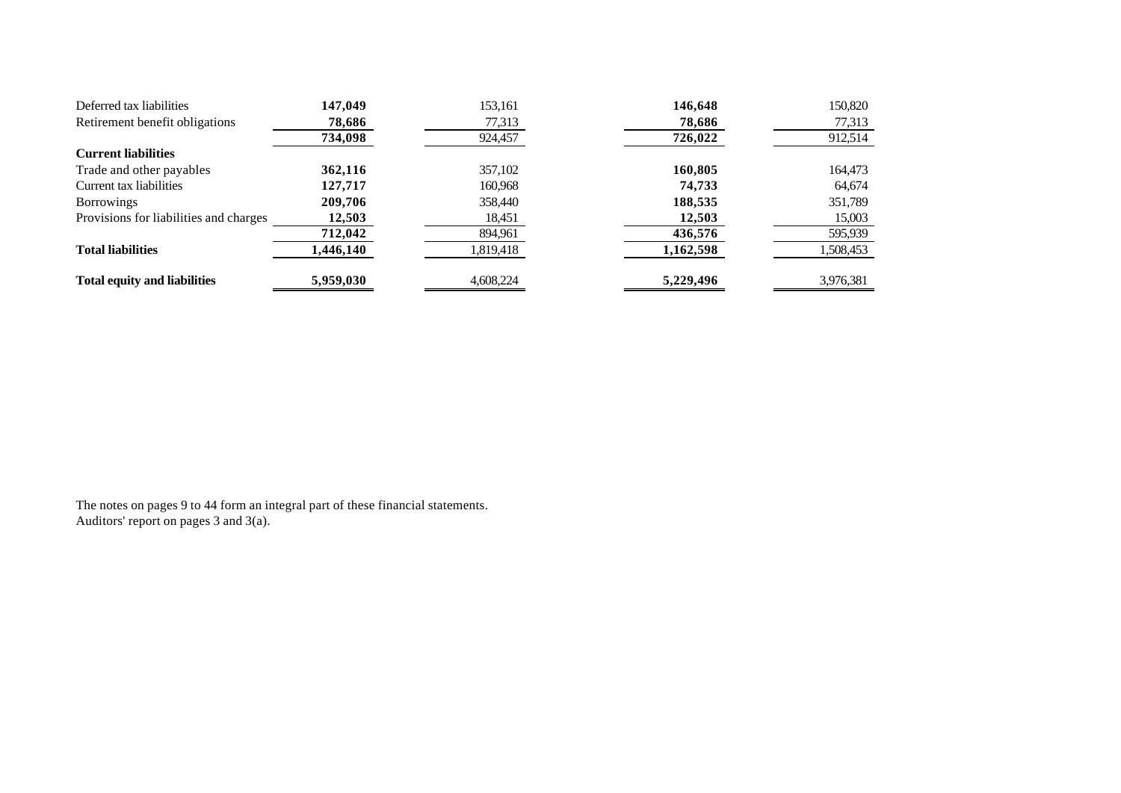| Deferred tax liabilities               | 147,049   | 153,161   | 146,648   | 150,820   |
|----------------------------------------|-----------|-----------|-----------|-----------|
| Retirement benefit obligations         | 78,686    | 77,313    | 78,686    | 77,313    |
|                                        | 734,098   | 924,457   | 726,022   | 912,514   |
| <b>Current liabilities</b>             |           |           |           |           |
| Trade and other payables               | 362,116   | 357,102   | 160,805   | 164,473   |
| Current tax liabilities                | 127.717   | 160,968   | 74,733    | 64,674    |
| <b>Borrowings</b>                      | 209,706   | 358,440   | 188,535   | 351,789   |
| Provisions for liabilities and charges | 12,503    | 18,451    | 12,503    | 15,003    |
|                                        | 712,042   | 894,961   | 436,576   | 595,939   |
| <b>Total liabilities</b>               | 1,446,140 | 1,819,418 | 1,162,598 | 1,508,453 |
| <b>Total equity and liabilities</b>    | 5,959,030 | 4,608,224 | 5,229,496 | 3,976,381 |

The notes on pages 9 to 44 form an integral part of these financial statements. Auditors' report on pages 3 and 3(a).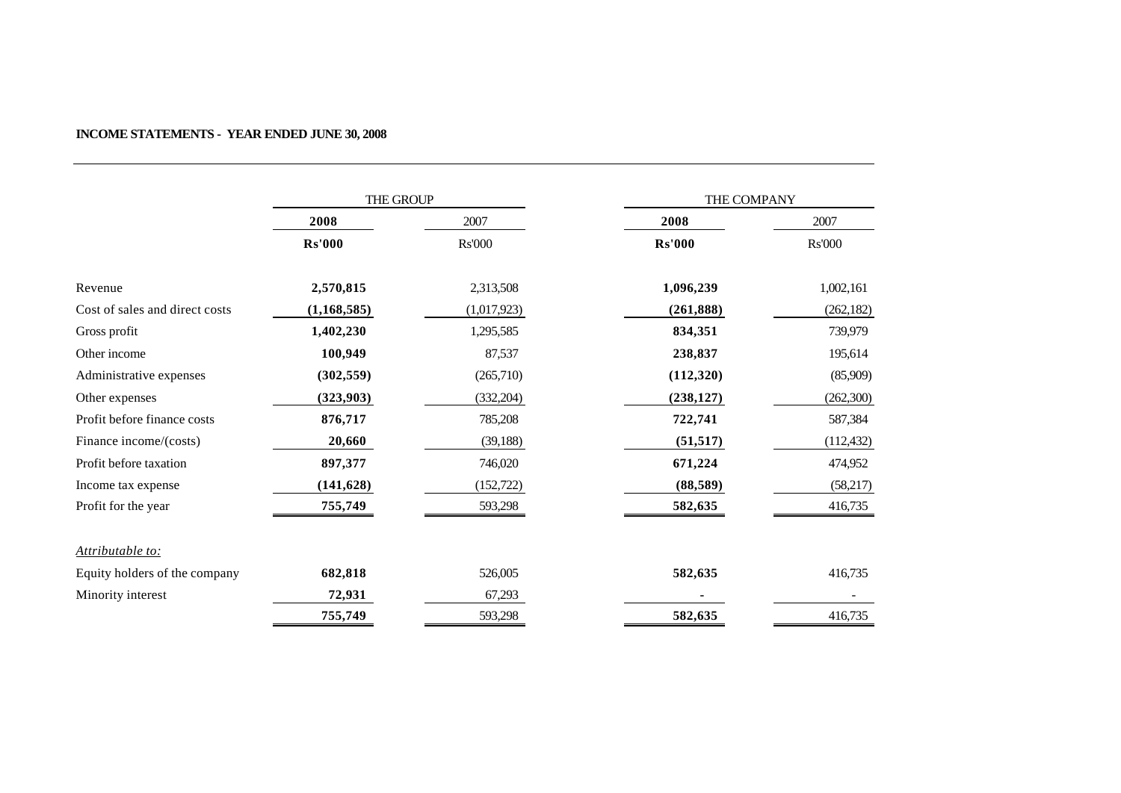|                                | THE GROUP     |               | THE COMPANY   |               |
|--------------------------------|---------------|---------------|---------------|---------------|
|                                | 2008          | 2007          | 2008          | 2007          |
|                                | <b>Rs'000</b> | <b>Rs'000</b> | <b>Rs'000</b> | <b>Rs'000</b> |
| Revenue                        | 2,570,815     | 2,313,508     | 1,096,239     | 1,002,161     |
| Cost of sales and direct costs | (1, 168, 585) | (1,017,923)   | (261, 888)    | (262, 182)    |
| Gross profit                   | 1,402,230     | 1,295,585     | 834,351       | 739,979       |
| Other income                   | 100,949       | 87,537        | 238,837       | 195,614       |
| Administrative expenses        | (302, 559)    | (265,710)     | (112,320)     | (85,909)      |
| Other expenses                 | (323, 903)    | (332, 204)    | (238, 127)    | (262, 300)    |
| Profit before finance costs    | 876,717       | 785,208       | 722,741       | 587,384       |
| Finance income/(costs)         | 20,660        | (39, 188)     | (51, 517)     | (112, 432)    |
| Profit before taxation         | 897,377       | 746,020       | 671,224       | 474,952       |
| Income tax expense             | (141, 628)    | (152, 722)    | (88,589)      | (58,217)      |
| Profit for the year            | 755,749       | 593,298       | 582,635       | 416,735       |
| Attributable to:               |               |               |               |               |
| Equity holders of the company  | 682,818       | 526,005       | 582,635       | 416,735       |
| Minority interest              | 72,931        | 67,293        |               |               |
|                                | 755,749       | 593,298       | 582,635       | 416,735       |

## **INCOME STATEMENTS - YEAR ENDED JUNE 30, 2008**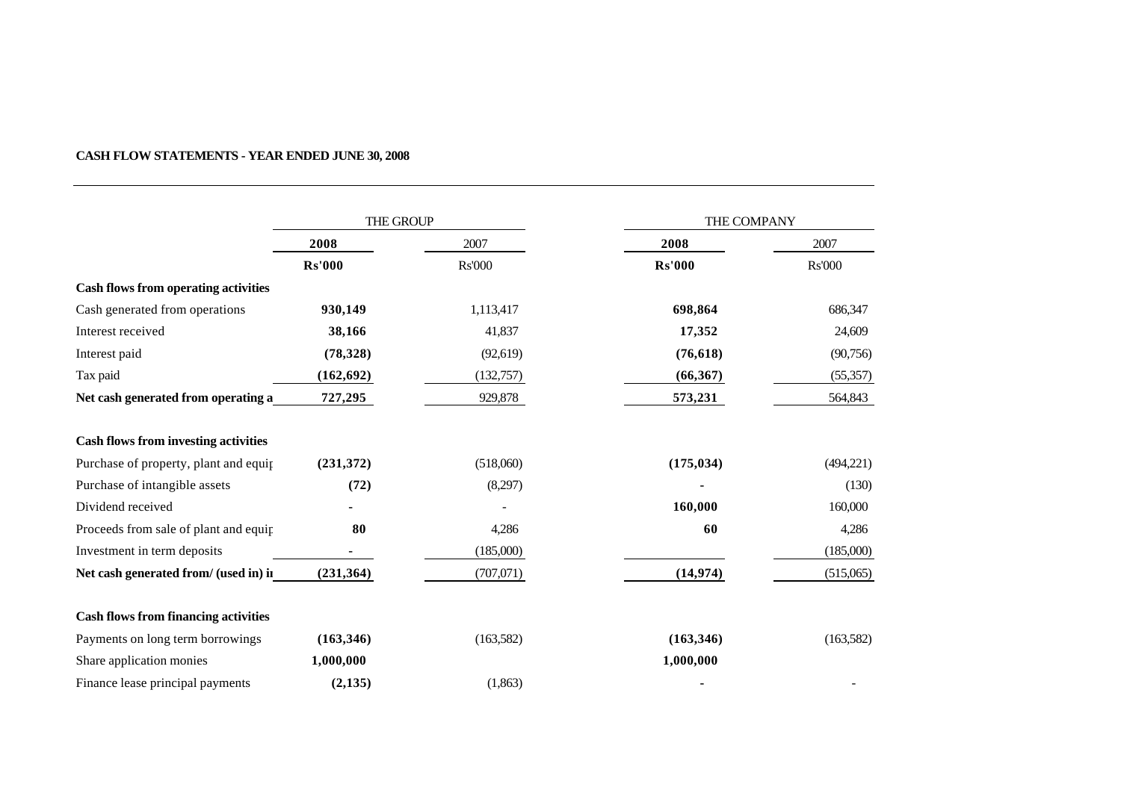## **CASH FLOW STATEMENTS - YEAR ENDED JUNE 30, 2008**

|                                             | THE GROUP     |               | THE COMPANY   |               |
|---------------------------------------------|---------------|---------------|---------------|---------------|
|                                             | 2008          | 2007          | 2008          | 2007          |
|                                             | <b>Rs'000</b> | <b>Rs'000</b> | <b>Rs'000</b> | <b>Rs'000</b> |
| <b>Cash flows from operating activities</b> |               |               |               |               |
| Cash generated from operations              | 930,149       | 1,113,417     | 698,864       | 686,347       |
| Interest received                           | 38,166        | 41,837        | 17,352        | 24,609        |
| Interest paid                               | (78, 328)     | (92, 619)     | (76, 618)     | (90, 756)     |
| Tax paid                                    | (162, 692)    | (132,757)     | (66, 367)     | (55, 357)     |
| Net cash generated from operating a         | 727,295       | 929,878       | 573,231       | 564,843       |
| <b>Cash flows from investing activities</b> |               |               |               |               |
| Purchase of property, plant and equip       | (231,372)     | (518,060)     | (175, 034)    | (494, 221)    |
| Purchase of intangible assets               | (72)          | (8,297)       |               | (130)         |
| Dividend received                           |               |               | 160,000       | 160,000       |
| Proceeds from sale of plant and equip       | 80            | 4,286         | 60            | 4,286         |
| Investment in term deposits                 |               | (185,000)     |               | (185,000)     |
| Net cash generated from/ (used in) in       | (231, 364)    | (707,071)     | (14, 974)     | (515,065)     |
| <b>Cash flows from financing activities</b> |               |               |               |               |
| Payments on long term borrowings            | (163, 346)    | (163, 582)    | (163, 346)    | (163, 582)    |
| Share application monies                    | 1,000,000     |               | 1,000,000     |               |
| Finance lease principal payments            | (2,135)       | (1,863)       |               |               |